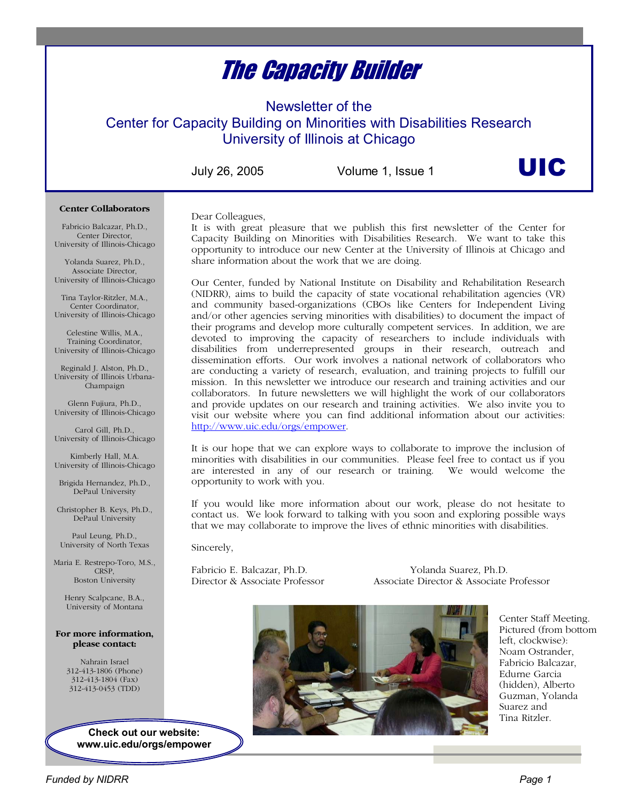# The Capacity Builder

Newsletter of the

Center for Capacity Building on Minorities with Disabilities Research University of Illinois at Chicago

July 26, 2005 Volume 1, Issue 1

UIC

#### **Center Collaborators**

Fabricio Balcazar, Ph.D., Center Director, University of Illinois-Chicago

Yolanda Suarez, Ph.D., Associate Director, University of Illinois-Chicago

Tina Taylor-Ritzler, M.A., Center Coordinator, University of Illinois-Chicago

Celestine Willis, M.A., Training Coordinator, University of Illinois-Chicago

Reginald J. Alston, Ph.D., University of Illinois Urbana-Champaign

Glenn Fujiura, Ph.D., University of Illinois-Chicago

Carol Gill, Ph.D., University of Illinois-Chicago

Kimberly Hall, M.A. University of Illinois-Chicago

Brigida Hernandez, Ph.D., DePaul University

Christopher B. Keys, Ph.D., DePaul University

Paul Leung, Ph.D., University of North Texas

Maria E. Restrepo-Toro, M.S., CRSP, Boston University

Henry Scalpcane, B.A., University of Montana

#### **For more information, please contact:**

Nahrain Israel 312-413-1806 (Phone) 312-413-1804 (Fax) 312-413-0453 (TDD)

> **Check out our website: www.uic.edu/orgs/empower**

Dear Colleagues,

It is with great pleasure that we publish this first newsletter of the Center for Capacity Building on Minorities with Disabilities Research. We want to take this opportunity to introduce our new Center at the University of Illinois at Chicago and share information about the work that we are doing.

Our Center, funded by National Institute on Disability and Rehabilitation Research (NIDRR), aims to build the capacity of state vocational rehabilitation agencies (VR) and community based-organizations (CBOs like Centers for Independent Living and/or other agencies serving minorities with disabilities) to document the impact of their programs and develop more culturally competent services. In addition, we are devoted to improving the capacity of researchers to include individuals with disabilities from underrepresented groups in their research, outreach and dissemination efforts. Our work involves a national network of collaborators who are conducting a variety of research, evaluation, and training projects to fulfill our mission. In this newsletter we introduce our research and training activities and our collaborators. In future newsletters we will highlight the work of our collaborators and provide updates on our research and training activities. We also invite you to visit our website where you can find additional information about our activities: http://www.uic.edu/orgs/empower.

It is our hope that we can explore ways to collaborate to improve the inclusion of minorities with disabilities in our communities. Please feel free to contact us if you are interested in any of our research or training. We would welcome the opportunity to work with you.

If you would like more information about our work, please do not hesitate to contact us. We look forward to talking with you soon and exploring possible ways that we may collaborate to improve the lives of ethnic minorities with disabilities.

Sincerely,

Fabricio E. Balcazar, Ph.D. Yolanda Suarez, Ph.D.

Director & Associate Professor Associate Director & Associate Professor



Center Staff Meeting. Pictured (from bottom left, clockwise): Noam Ostrander, Fabricio Balcazar, Edurne Garcia (hidden), Alberto Guzman, Yolanda Suarez and Tina Ritzler.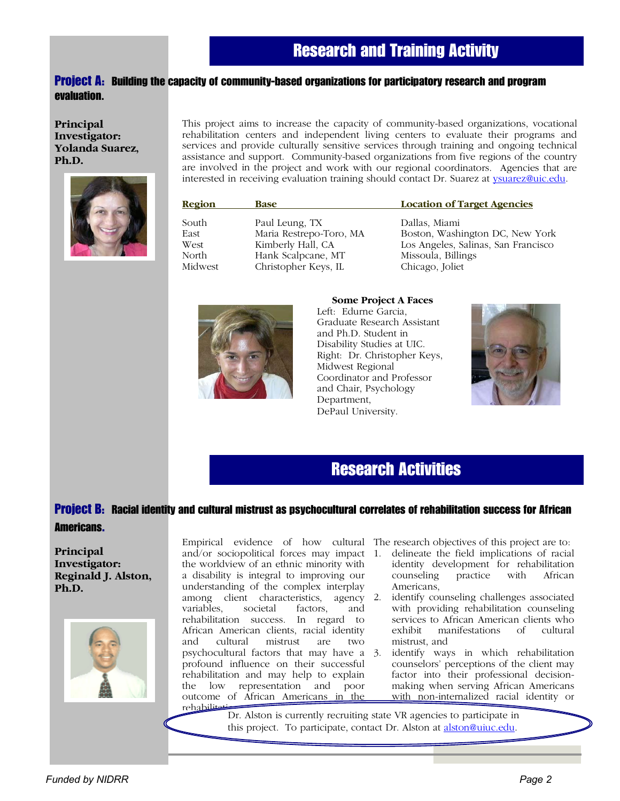## Project A: Building the capacity of community-based organizations for participatory research and program evaluation.

**Principal Investigator: Yolanda Suarez, Ph.D.** 



This project aims to increase the capacity of community-based organizations, vocational rehabilitation centers and independent living centers to evaluate their programs and services and provide culturally sensitive services through training and ongoing technical assistance and support. Community-based organizations from five regions of the country are involved in the project and work with our regional coordinators. Agencies that are interested in receiving evaluation training should contact Dr. Suarez at ysuarez@uic.edu.

| Region                                    | <b>Base</b>                                                                                                  | <b>Location of Target Agencies</b>                                                                                               |
|-------------------------------------------|--------------------------------------------------------------------------------------------------------------|----------------------------------------------------------------------------------------------------------------------------------|
| South<br>East<br>West<br>North<br>Midwest | Paul Leung, TX<br>Maria Restrepo-Toro, MA<br>Kimberly Hall, CA<br>Hank Scalpcane, MT<br>Christopher Keys, IL | Dallas, Miami<br>Boston, Washington DC, New York<br>Los Angeles, Salinas, San Francisco<br>Missoula, Billings<br>Chicago, Joliet |
|                                           |                                                                                                              |                                                                                                                                  |



#### **Some Project A Faces**

Left: Edurne Garcia, Graduate Research Assistant and Ph.D. Student in Disability Studies at UIC. Right: Dr. Christopher Keys, Midwest Regional Coordinator and Professor and Chair, Psychology Department, DePaul University.



# Research Activities

# Project B: Racial identity and cultural mistrust as psychocultural correlates of rehabilitation success for African

#### Americans.

**Principal Investigator: Reginald J. Alston, Ph.D.** 



Empirical evidence of how cultural The research objectives of this project are to: and/or sociopolitical forces may impact the worldview of an ethnic minority with a disability is integral to improving our understanding of the complex interplay among client characteristics, agency 2. variables, societal factors, and rehabilitation success. In regard to African American clients, racial identity and cultural mistrust are two psychocultural factors that may have a profound influence on their successful rehabilitation and may help to explain the low representation and poor outcome of African Americans in the rehabilit

- 1. delineate the field implications of racial identity development for rehabilitation counseling practice with African Americans,
- identify counseling challenges associated with providing rehabilitation counseling services to African American clients who exhibit manifestations of cultural exhibit manifestations of cultural mistrust, and
- identify ways in which rehabilitation counselors' perceptions of the client may factor into their professional decisionmaking when serving African Americans with non-internalized racial identity or

Dr. Alston is currently recruiting state VR agencies to participate in this project. To participate, contact Dr. Alston at alston@uiuc.edu.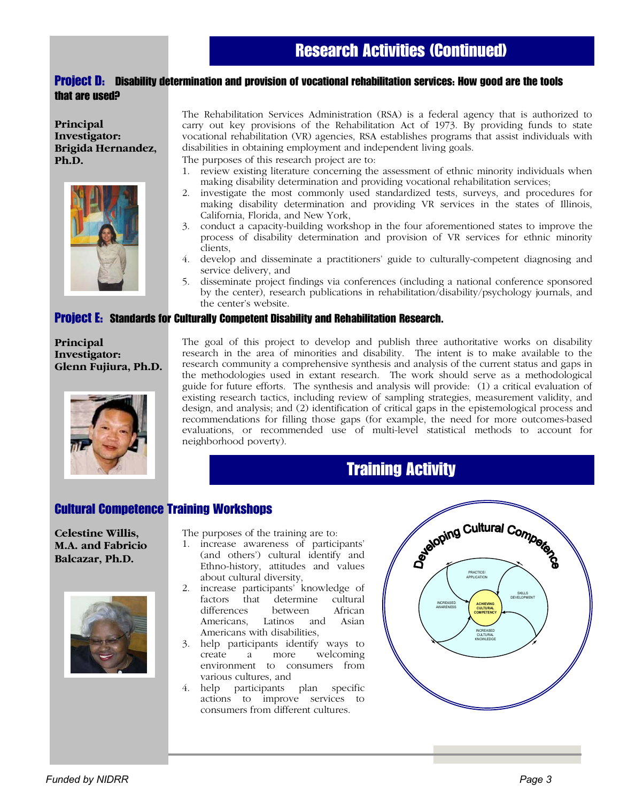### Project D: Disability determination and provision of vocational rehabilitation services: How good are the tools that are used?

**Principal Investigator: Brigida Hernandez, Ph.D.** 



The Rehabilitation Services Administration (RSA) is a federal agency that is authorized to carry out key provisions of the Rehabilitation Act of 1973. By providing funds to state vocational rehabilitation (VR) agencies, RSA establishes programs that assist individuals with disabilities in obtaining employment and independent living goals.

The purposes of this research project are to:

- 1. review existing literature concerning the assessment of ethnic minority individuals when making disability determination and providing vocational rehabilitation services;
- 2. investigate the most commonly used standardized tests, surveys, and procedures for making disability determination and providing VR services in the states of Illinois, California, Florida, and New York,
- 3. conduct a capacity-building workshop in the four aforementioned states to improve the process of disability determination and provision of VR services for ethnic minority clients,
- 4. develop and disseminate a practitioners' guide to culturally-competent diagnosing and service delivery, and
- 5. disseminate project findings via conferences (including a national conference sponsored by the center), research publications in rehabilitation/disability/psychology journals, and the center's website.

#### Project E: Standards for Culturally Competent Disability and Rehabilitation Research.

### **Principal Investigator: Glenn Fujiura, Ph.D.**



The goal of this project to develop and publish three authoritative works on disability research in the area of minorities and disability. The intent is to make available to the research community a comprehensive synthesis and analysis of the current status and gaps in the methodologies used in extant research. The work should serve as a methodological guide for future efforts. The synthesis and analysis will provide: (1) a critical evaluation of existing research tactics, including review of sampling strategies, measurement validity, and design, and analysis; and (2) identification of critical gaps in the epistemological process and recommendations for filling those gaps (for example, the need for more outcomes-based evaluations, or recommended use of multi-level statistical methods to account for neighborhood poverty).

# Training Activity

# Cultural Competence Training Workshops

**Celestine Willis, M.A. and Fabricio Balcazar, Ph.D.** 



The purposes of the training are to:

- 1. increase awareness of participants' (and others') cultural identify and Ethno-history, attitudes and values about cultural diversity,
- 2. increase participants' knowledge of factors that differences between African Americans, Latinos and Asian Americans with disabilities,
- 3. help participants identify ways to create a more welcoming environment to consumers from various cultures, and<br>4. help participants
- participants plan specific actions to improve services to consumers from different cultures.